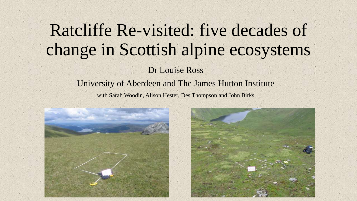# Ratcliffe Re-visited: five decades of change in Scottish alpine ecosystems

Dr Louise Ross

University of Aberdeen and The James Hutton Institute with Sarah Woodin, Alison Hester, Des Thompson and John Birks

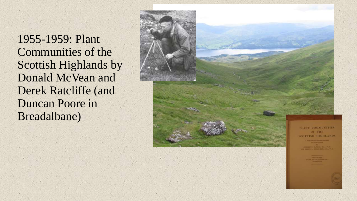1955-1959: Plant Communities of the Scottish Highlands by Donald McVean and Derek Ratcliffe (and Duncan Poore in Breadalbane)

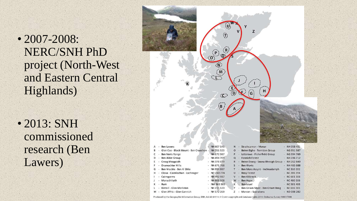• 2007-2008: NERC/SNH PhD project (North-West and Eastern Central Highlands)

• 2013: SNH commissioned research (Ben Lawers)



| <b>DELLAWELS</b>                        |   | N N U U I 41   |          |        | - Sudultdifon - Mondi                   |    | <b>INTIUDO 431</b> |
|-----------------------------------------|---|----------------|----------|--------|-----------------------------------------|----|--------------------|
| Glen Coe - Black Mount - Ben Cruachan - |   | NN 251 523     | $\circ$  |        | - Beinn Eighe - Torridon Group          | ÷. | NG 951 587         |
| Ben Nevis Range                         |   | $-$ NN 172 967 | P        | $\sim$ | Letterewe - Fisherfield Group           |    | NG 994 769         |
| Ben Alder Group                         |   | $- NN 494 709$ | $\Omega$ |        | - Fannich Forest                        |    | NH 206 712         |
| Creag Meagaidh                          | ۰ | NN 378 879     |          |        | R - Beinn Dearg - Seana Bhraigh Group - |    | NH 262 840         |
| <b>Drumochter Hills</b>                 |   | $- NN 671 768$ | S.       |        | - Ben Wyvis                             |    | NH 465 688         |
| Ben Vrackie - Ben A' Ghlo               |   | $-$ NN 954 867 |          |        | T - Ben More Assynt - Inchnadamph       | ٠  | <b>NC 310 202</b>  |
| Clova - Caenlochan - Lochnagar          |   | $- NO$ 240 774 | U        |        | - Reay Forest                           |    | <b>NC 286 394</b>  |
| Cairngorms                              |   | - NN 992 987   |          |        | - Ben Klibreck                          |    | $- NC 601 308$     |
| Monadhliath                             |   | $-$ NH 669 108 |          |        | W - Ben Hope                            |    | <b>NC 480 506</b>  |
| Rum                                     |   | $-$ NM 365 989 |          |        | - Ben Loyal                             |    | <b>NC 581 488</b>  |
| Kintail - Glen Moriston                 |   | $-$ NH 215 120 |          |        | Y - Ben Griam More - Ben Griam Beag -   |    | <b>NC 616 381</b>  |
| Glen Affric - Glen Cannich              |   | $-$ NH 172 269 |          |        | - Morven - Scarabens                    |    | ND 008 282         |

L. M

Produced by the Geographic Information Group, SNH. Job id: 64114. © Crown copyright and database rights 2014. Ordnance Survey 100017908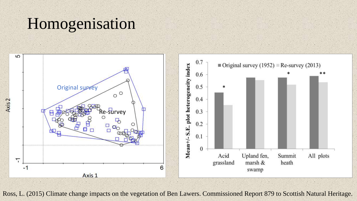#### Homogenisation



Ross, L. (2015) Climate change impacts on the vegetation of Ben Lawers. Commissioned Report 879 to Scottish Natural Heritage.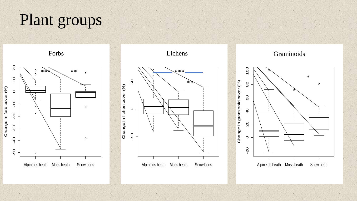# Plant groups









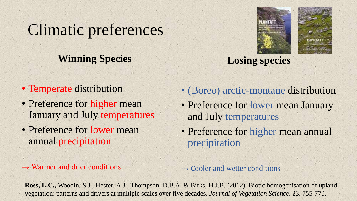### Climatic preferences

#### **Winning Species**

- Temperate distribution
- Preference for higher mean January and July temperatures
- Preference for lower mean annual precipitation

 $\rightarrow$  Warmer and drier conditions





**Losing species**

- (Boreo) arctic-montane distribution
- Preference for lower mean January and July temperatures
- Preference for higher mean annual precipitation

 $\rightarrow$  Cooler and wetter conditions

**Ross, L.C.,** Woodin, S.J., Hester, A.J., Thompson, D.B.A. & Birks, H.J.B. (2012). Biotic homogenisation of upland vegetation: patterns and drivers at multiple scales over five decades. *Journal of Vegetation Science*, 23, 755-770.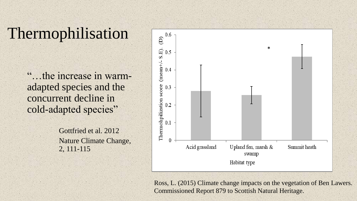### Thermophilisation

"…the increase in warmadapted species and the concurrent decline in cold-adapted species"

> Gottfried et al. 2012 Nature Climate Change, 2, 111-115



Ross, L. (2015) Climate change impacts on the vegetation of Ben Lawers. Commissioned Report 879 to Scottish Natural Heritage.